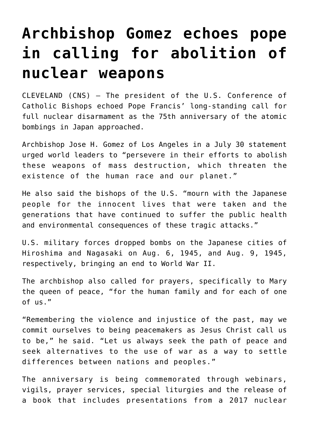## **[Archbishop Gomez echoes pope](https://www.osvnews.com/2020/08/06/archbishop-gomez-echoes-pope-in-calling-for-abolition-of-nuclear-weapons/) [in calling for abolition of](https://www.osvnews.com/2020/08/06/archbishop-gomez-echoes-pope-in-calling-for-abolition-of-nuclear-weapons/) [nuclear weapons](https://www.osvnews.com/2020/08/06/archbishop-gomez-echoes-pope-in-calling-for-abolition-of-nuclear-weapons/)**

CLEVELAND (CNS) – The president of the U.S. Conference of Catholic Bishops echoed Pope Francis' long-standing call for full nuclear disarmament as the 75th anniversary of the atomic bombings in Japan approached.

Archbishop Jose H. Gomez of Los Angeles in a July 30 statement urged world leaders to "persevere in their efforts to abolish these weapons of mass destruction, which threaten the existence of the human race and our planet."

He also said the bishops of the U.S. "mourn with the Japanese people for the innocent lives that were taken and the generations that have continued to suffer the public health and environmental consequences of these tragic attacks."

U.S. military forces dropped bombs on the Japanese cities of Hiroshima and Nagasaki on Aug. 6, 1945, and Aug. 9, 1945, respectively, bringing an end to World War II.

The archbishop also called for prayers, specifically to Mary the queen of peace, "for the human family and for each of one of us."

"Remembering the violence and injustice of the past, may we commit ourselves to being peacemakers as Jesus Christ call us to be," he said. "Let us always seek the path of peace and seek alternatives to the use of war as a way to settle differences between nations and peoples."

The anniversary is being commemorated through webinars, vigils, prayer services, special liturgies and the release of a book that includes presentations from a 2017 nuclear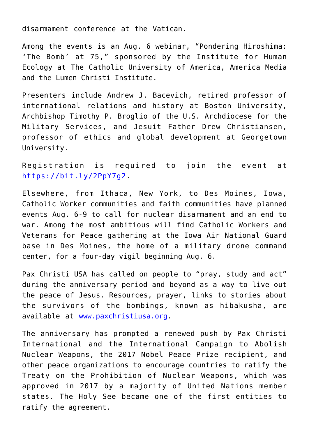disarmament conference at the Vatican.

Among the events is an Aug. 6 webinar, "Pondering Hiroshima: 'The Bomb' at 75," sponsored by the Institute for Human Ecology at The Catholic University of America, America Media and the Lumen Christi Institute.

Presenters include Andrew J. Bacevich, retired professor of international relations and history at Boston University, Archbishop Timothy P. Broglio of the U.S. Archdiocese for the Military Services, and Jesuit Father Drew Christiansen, professor of ethics and global development at Georgetown University.

Registration is required to join the event at <https://bit.ly/2PpY7g2>.

Elsewhere, from Ithaca, New York, to Des Moines, Iowa, Catholic Worker communities and faith communities have planned events Aug. 6-9 to call for nuclear disarmament and an end to war. Among the most ambitious will find Catholic Workers and Veterans for Peace gathering at the Iowa Air National Guard base in Des Moines, the home of a military drone command center, for a four-day vigil beginning Aug. 6.

Pax Christi USA has called on people to "pray, study and act" during the anniversary period and beyond as a way to live out the peace of Jesus. Resources, prayer, links to stories about the survivors of the bombings, known as hibakusha, are available at [www.paxchristiusa.org.](http://www.paxchristiusa.org)

The anniversary has prompted a renewed push by Pax Christi International and the International Campaign to Abolish Nuclear Weapons, the 2017 Nobel Peace Prize recipient, and other peace organizations to encourage countries to ratify the Treaty on the Prohibition of Nuclear Weapons, which was approved in 2017 by a majority of United Nations member states. The Holy See became one of the first entities to ratify the agreement.